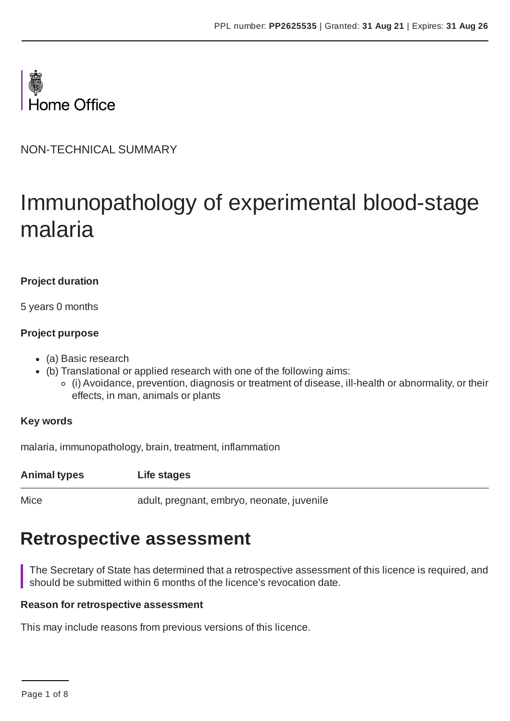

NON-TECHNICAL SUMMARY

# Immunopathology of experimental blood-stage malaria

# **Project duration**

5 years 0 months

### **Project purpose**

- (a) Basic research
- (b) Translational or applied research with one of the following aims:
	- (i) Avoidance, prevention, diagnosis or treatment of disease, ill-health or abnormality, or their effects, in man, animals or plants

# **Key words**

malaria, immunopathology, brain, treatment, inflammation

**Animal types Life stages**

Mice adult, pregnant, embryo, neonate, juvenile

# **Retrospective assessment**

The Secretary of State has determined that a retrospective assessment of this licence is required, and should be submitted within 6 months of the licence's revocation date.

#### **Reason for retrospective assessment**

This may include reasons from previous versions of this licence.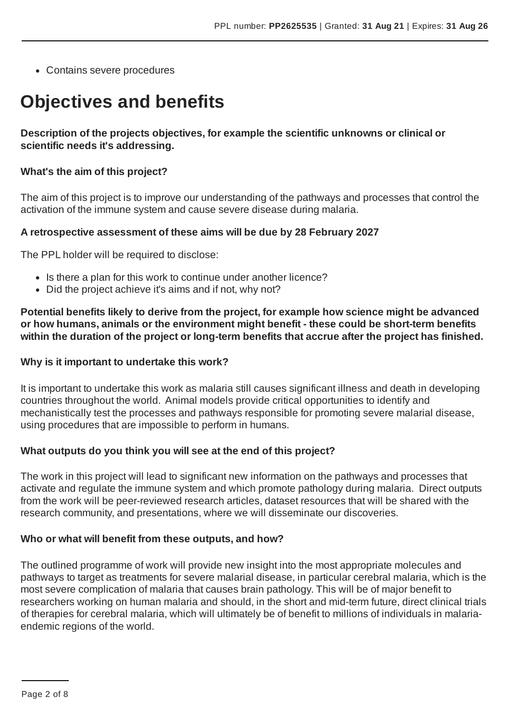Contains severe procedures

# **Objectives and benefits**

**Description of the projects objectives, for example the scientific unknowns or clinical or scientific needs it's addressing.**

#### **What's the aim of this project?**

The aim of this project is to improve our understanding of the pathways and processes that control the activation of the immune system and cause severe disease during malaria.

#### **A retrospective assessment of these aims will be due by 28 February 2027**

The PPL holder will be required to disclose:

- Is there a plan for this work to continue under another licence?
- Did the project achieve it's aims and if not, why not?

**Potential benefits likely to derive from the project, for example how science might be advanced or how humans, animals or the environment might benefit - these could be short-term benefits within the duration of the project or long-term benefits that accrue after the project has finished.**

#### **Why is it important to undertake this work?**

It is important to undertake this work as malaria still causes significant illness and death in developing countries throughout the world. Animal models provide critical opportunities to identify and mechanistically test the processes and pathways responsible for promoting severe malarial disease, using procedures that are impossible to perform in humans.

#### **What outputs do you think you will see at the end of this project?**

The work in this project will lead to significant new information on the pathways and processes that activate and regulate the immune system and which promote pathology during malaria. Direct outputs from the work will be peer-reviewed research articles, dataset resources that will be shared with the research community, and presentations, where we will disseminate our discoveries.

#### **Who or what will benefit from these outputs, and how?**

The outlined programme of work will provide new insight into the most appropriate molecules and pathways to target as treatments for severe malarial disease, in particular cerebral malaria, which is the most severe complication of malaria that causes brain pathology. This will be of major benefit to researchers working on human malaria and should, in the short and mid-term future, direct clinical trials of therapies for cerebral malaria, which will ultimately be of benefit to millions of individuals in malariaendemic regions of the world.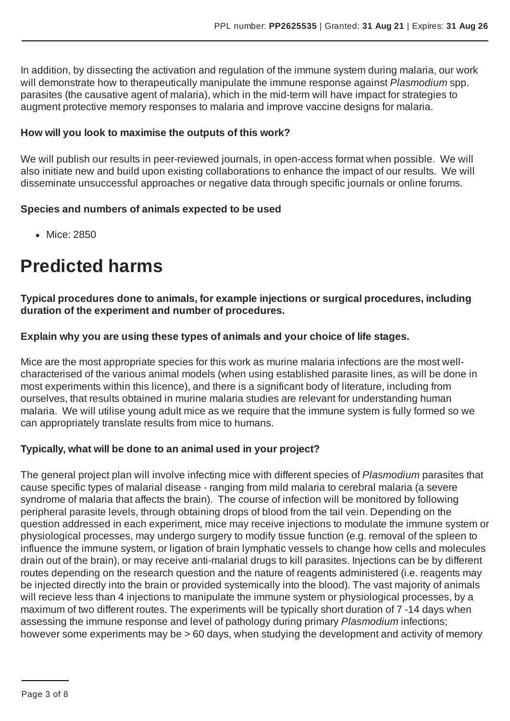In addition, by dissecting the activation and regulation of the immune system during malaria, our work will demonstrate how to therapeutically manipulate the immune response against *Plasmodium* spp. parasites (the causative agent of malaria), which in the mid-term will have impact for strategies to augment protective memory responses to malaria and improve vaccine designs for malaria.

### **How will you look to maximise the outputs of this work?**

We will publish our results in peer-reviewed journals, in open-access format when possible. We will also initiate new and build upon existing collaborations to enhance the impact of our results. We will disseminate unsuccessful approaches or negative data through specific journals or online forums.

### **Species and numbers of animals expected to be used**

• Mice: 2850

# **Predicted harms**

**Typical procedures done to animals, for example injections or surgical procedures, including duration of the experiment and number of procedures.**

### **Explain why you are using these types of animals and your choice of life stages.**

Mice are the most appropriate species for this work as murine malaria infections are the most wellcharacterised of the various animal models (when using established parasite lines, as will be done in most experiments within this licence), and there is a significant body of literature, including from ourselves, that results obtained in murine malaria studies are relevant for understanding human malaria. We will utilise young adult mice as we require that the immune system is fully formed so we can appropriately translate results from mice to humans.

#### **Typically, what will be done to an animal used in your project?**

The general project plan will involve infecting mice with different species of *Plasmodium* parasites that cause specific types of malarial disease - ranging from mild malaria to cerebral malaria (a severe syndrome of malaria that affects the brain). The course of infection will be monitored by following peripheral parasite levels, through obtaining drops of blood from the tail vein. Depending on the question addressed in each experiment, mice may receive injections to modulate the immune system or physiological processes, may undergo surgery to modify tissue function (e.g. removal of the spleen to influence the immune system, or ligation of brain lymphatic vessels to change how cells and molecules drain out of the brain), or may receive anti-malarial drugs to kill parasites. Injections can be by different routes depending on the research question and the nature of reagents administered (i.e. reagents may be injected directly into the brain or provided systemically into the blood). The vast majority of animals will recieve less than 4 injections to manipulate the immune system or physiological processes, by a maximum of two different routes. The experiments will be typically short duration of 7 -14 days when assessing the immune response and level of pathology during primary *Plasmodium* infections; however some experiments may be > 60 days, when studying the development and activity of memory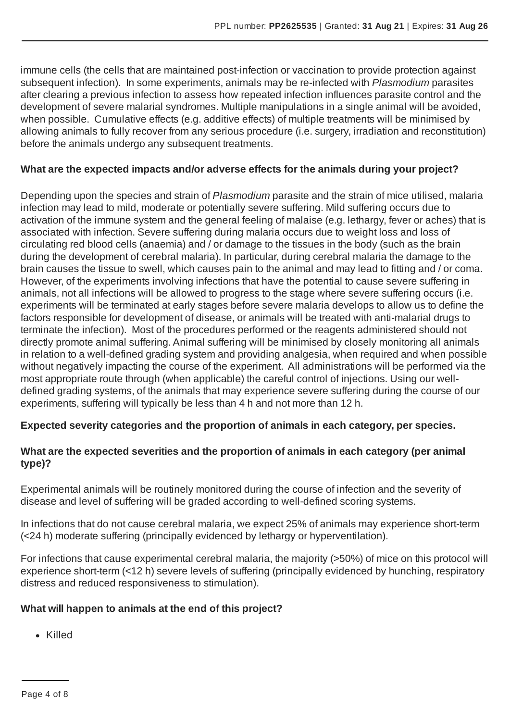immune cells (the cells that are maintained post-infection or vaccination to provide protection against subsequent infection). In some experiments, animals may be re-infected with *Plasmodium* parasites after clearing a previous infection to assess how repeated infection influences parasite control and the development of severe malarial syndromes. Multiple manipulations in a single animal will be avoided, when possible. Cumulative effects (e.g. additive effects) of multiple treatments will be minimised by allowing animals to fully recover from any serious procedure (i.e. surgery, irradiation and reconstitution) before the animals undergo any subsequent treatments.

# **What are the expected impacts and/or adverse effects for the animals during your project?**

Depending upon the species and strain of *Plasmodium* parasite and the strain of mice utilised, malaria infection may lead to mild, moderate or potentially severe suffering. Mild suffering occurs due to activation of the immune system and the general feeling of malaise (e.g. lethargy, fever or aches) that is associated with infection. Severe suffering during malaria occurs due to weight loss and loss of circulating red blood cells (anaemia) and / or damage to the tissues in the body (such as the brain during the development of cerebral malaria). In particular, during cerebral malaria the damage to the brain causes the tissue to swell, which causes pain to the animal and may lead to fitting and / or coma. However, of the experiments involving infections that have the potential to cause severe suffering in animals, not all infections will be allowed to progress to the stage where severe suffering occurs (i.e. experiments will be terminated at early stages before severe malaria develops to allow us to define the factors responsible for development of disease, or animals will be treated with anti-malarial drugs to terminate the infection). Most of the procedures performed or the reagents administered should not directly promote animal suffering.Animal suffering will be minimised by closely monitoring all animals in relation to a well-defined grading system and providing analgesia, when required and when possible without negatively impacting the course of the experiment. All administrations will be performed via the most appropriate route through (when applicable) the careful control of injections. Using our welldefined grading systems, of the animals that may experience severe suffering during the course of our experiments, suffering will typically be less than 4 h and not more than 12 h.

# **Expected severity categories and the proportion of animals in each category, per species.**

# **What are the expected severities and the proportion of animals in each category (per animal type)?**

Experimental animals will be routinely monitored during the course of infection and the severity of disease and level of suffering will be graded according to well-defined scoring systems.

In infections that do not cause cerebral malaria, we expect 25% of animals may experience short-term (<24 h) moderate suffering (principally evidenced by lethargy or hyperventilation).

For infections that cause experimental cerebral malaria, the majority (>50%) of mice on this protocol will experience short-term (<12 h) severe levels of suffering (principally evidenced by hunching, respiratory distress and reduced responsiveness to stimulation).

# **What will happen to animals at the end of this project?**

Killed

Page 4 of 8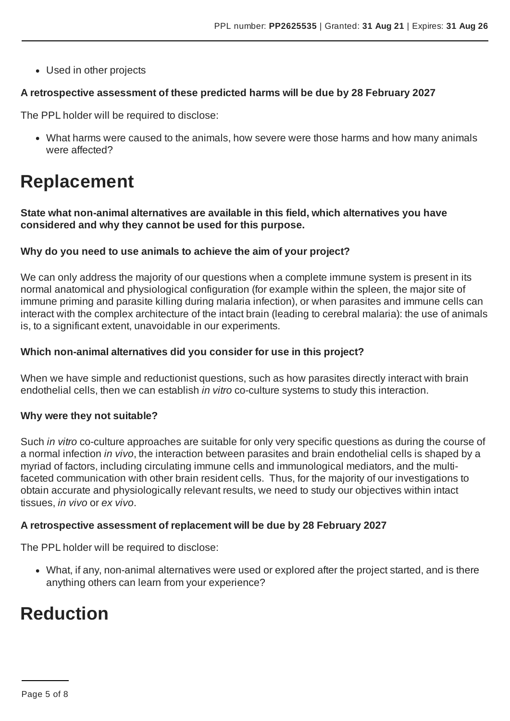Used in other projects

#### **A retrospective assessment of these predicted harms will be due by 28 February 2027**

The PPL holder will be required to disclose:

What harms were caused to the animals, how severe were those harms and how many animals were affected?

# **Replacement**

**State what non-animal alternatives are available in this field, which alternatives you have considered and why they cannot be used for this purpose.**

#### **Why do you need to use animals to achieve the aim of your project?**

We can only address the majority of our questions when a complete immune system is present in its normal anatomical and physiological configuration (for example within the spleen, the major site of immune priming and parasite killing during malaria infection), or when parasites and immune cells can interact with the complex architecture of the intact brain (leading to cerebral malaria): the use of animals is, to a significant extent, unavoidable in our experiments.

#### **Which non-animal alternatives did you consider for use in this project?**

When we have simple and reductionist questions, such as how parasites directly interact with brain endothelial cells, then we can establish *in vitro* co-culture systems to study this interaction.

#### **Why were they not suitable?**

Such *in vitro* co-culture approaches are suitable for only very specific questions as during the course of a normal infection *in vivo*, the interaction between parasites and brain endothelial cells is shaped by a myriad of factors, including circulating immune cells and immunological mediators, and the multifaceted communication with other brain resident cells. Thus, for the majority of our investigations to obtain accurate and physiologically relevant results, we need to study our objectives within intact tissues, *in vivo* or *ex vivo*.

#### **A retrospective assessment of replacement will be due by 28 February 2027**

The PPL holder will be required to disclose:

What, if any, non-animal alternatives were used or explored after the project started, and is there anything others can learn from your experience?

# **Reduction**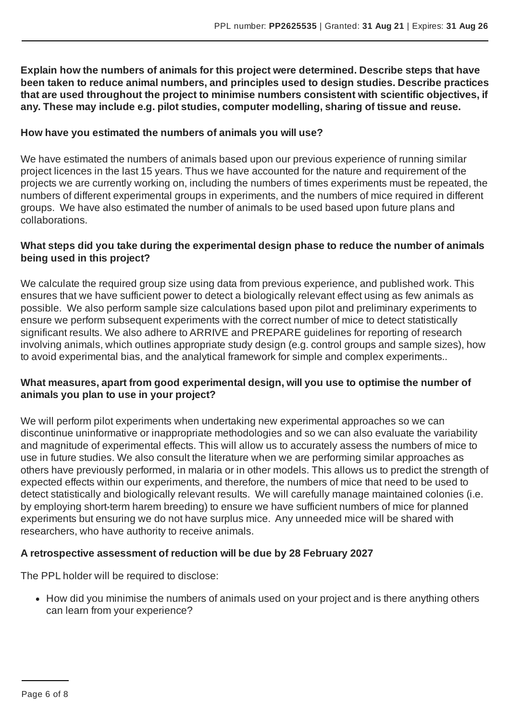**Explain how the numbers of animals for this project were determined. Describe steps that have been taken to reduce animal numbers, and principles used to design studies. Describe practices that are used throughout the project to minimise numbers consistent with scientific objectives, if any. These may include e.g. pilot studies, computer modelling, sharing of tissue and reuse.**

#### **How have you estimated the numbers of animals you will use?**

We have estimated the numbers of animals based upon our previous experience of running similar project licences in the last 15 years. Thus we have accounted for the nature and requirement of the projects we are currently working on, including the numbers of times experiments must be repeated, the numbers of different experimental groups in experiments, and the numbers of mice required in different groups. We have also estimated the number of animals to be used based upon future plans and collaborations.

### **What steps did you take during the experimental design phase to reduce the number of animals being used in this project?**

We calculate the required group size using data from previous experience, and published work. This ensures that we have sufficient power to detect a biologically relevant effect using as few animals as possible. We also perform sample size calculations based upon pilot and preliminary experiments to ensure we perform subsequent experiments with the correct number of mice to detect statistically significant results. We also adhere to ARRIVE and PREPARE guidelines for reporting of research involving animals, which outlines appropriate study design (e.g. control groups and sample sizes), how to avoid experimental bias, and the analytical framework for simple and complex experiments..

# **What measures, apart from good experimental design, will you use to optimise the number of animals you plan to use in your project?**

We will perform pilot experiments when undertaking new experimental approaches so we can discontinue uninformative or inappropriate methodologies and so we can also evaluate the variability and magnitude of experimental effects. This will allow us to accurately assess the numbers of mice to use in future studies. We also consult the literature when we are performing similar approaches as others have previously performed, in malaria or in other models. This allows us to predict the strength of expected effects within our experiments, and therefore, the numbers of mice that need to be used to detect statistically and biologically relevant results. We will carefully manage maintained colonies (i.e. by employing short-term harem breeding) to ensure we have sufficient numbers of mice for planned experiments but ensuring we do not have surplus mice. Any unneeded mice will be shared with researchers, who have authority to receive animals.

# **A retrospective assessment of reduction will be due by 28 February 2027**

The PPL holder will be required to disclose:

• How did you minimise the numbers of animals used on your project and is there anything others can learn from your experience?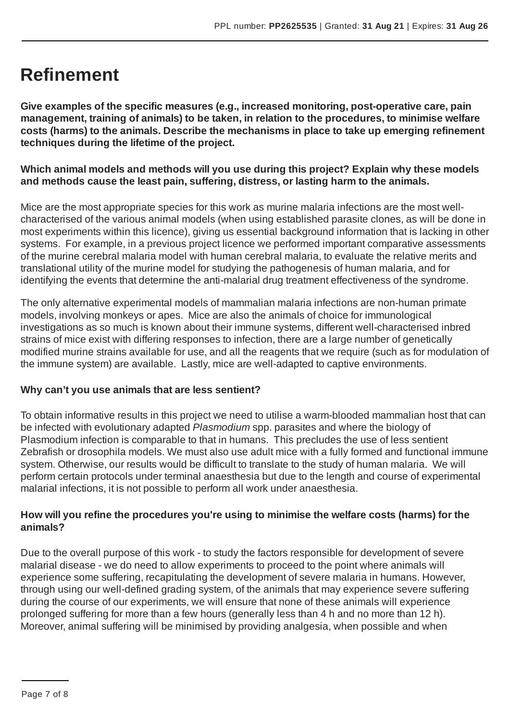# **Refinement**

**Give examples of the specific measures (e.g., increased monitoring, post-operative care, pain management, training of animals) to be taken, in relation to the procedures, to minimise welfare costs (harms) to the animals. Describe the mechanisms in place to take up emerging refinement techniques during the lifetime of the project.**

# **Which animal models and methods will you use during this project? Explain why these models and methods cause the least pain, suffering, distress, or lasting harm to the animals.**

Mice are the most appropriate species for this work as murine malaria infections are the most wellcharacterised of the various animal models (when using established parasite clones, as will be done in most experiments within this licence), giving us essential background information that is lacking in other systems. For example, in a previous project licence we performed important comparative assessments of the murine cerebral malaria model with human cerebral malaria, to evaluate the relative merits and translational utility of the murine model for studying the pathogenesis of human malaria, and for identifying the events that determine the anti-malarial drug treatment effectiveness of the syndrome.

The only alternative experimental models of mammalian malaria infections are non-human primate models, involving monkeys or apes. Mice are also the animals of choice for immunological investigations as so much is known about their immune systems, different well-characterised inbred strains of mice exist with differing responses to infection, there are a large number of genetically modified murine strains available for use, and all the reagents that we require (such as for modulation of the immune system) are available. Lastly, mice are well-adapted to captive environments.

# **Why can't you use animals that are less sentient?**

To obtain informative results in this project we need to utilise a warm-blooded mammalian host that can be infected with evolutionary adapted *Plasmodium* spp. parasites and where the biology of Plasmodium infection is comparable to that in humans. This precludes the use of less sentient Zebrafish or drosophila models. We must also use adult mice with a fully formed and functional immune system. Otherwise, our results would be difficult to translate to the study of human malaria. We will perform certain protocols under terminal anaesthesia but due to the length and course of experimental malarial infections, it is not possible to perform all work under anaesthesia.

# **How will you refine the procedures you're using to minimise the welfare costs (harms) for the animals?**

Due to the overall purpose of this work - to study the factors responsible for development of severe malarial disease - we do need to allow experiments to proceed to the point where animals will experience some suffering, recapitulating the development of severe malaria in humans. However, through using our well-defined grading system, of the animals that may experience severe suffering during the course of our experiments, we will ensure that none of these animals will experience prolonged suffering for more than a few hours (generally less than 4 h and no more than 12 h). Moreover, animal suffering will be minimised by providing analgesia, when possible and when